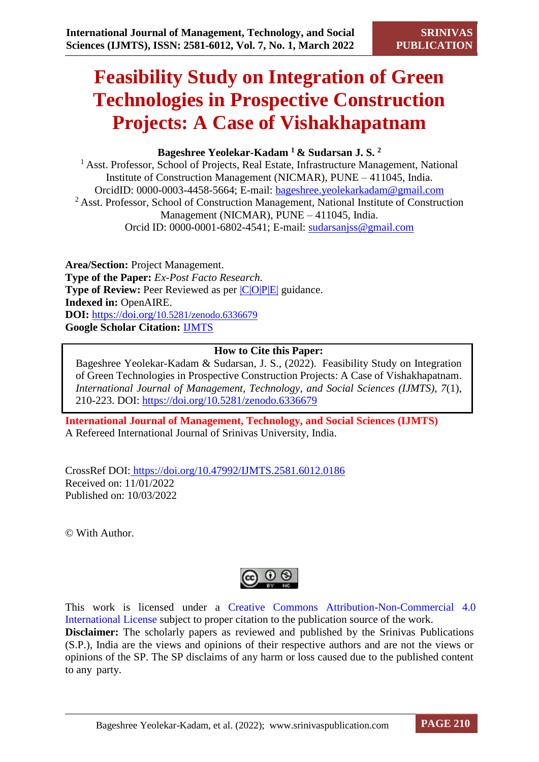# **Feasibility Study on Integration of Green Technologies in Prospective Construction Projects: A Case of Vishakhapatnam**

# **Bageshree Yeolekar-Kadam <sup>1</sup>& Sudarsan J. S. <sup>2</sup>**

<sup>1</sup> Asst. Professor, School of Projects, Real Estate, Infrastructure Management, National Institute of Construction Management (NICMAR), PUNE – 411045, India. OrcidID: 0000-0003-4458-5664; E-mail: bageshree.yeolekarkadam@gmail.com <sup>2</sup> Asst. Professor, School of Construction Management, National Institute of Construction Management (NICMAR), PUNE – 411045, India. Orcid ID: 0000-0001-6802-4541; E-mail: [sudarsanjss@gmail.com](mailto:sudarsanjss@gmail.com)

**Area/Section:** Project Management. **Type of the Paper:** *Ex-Post Facto Research*. **Type of Review:** Peer Reviewed as per  $|C|O||P|E|$  guidance. **Indexed in:** OpenAIRE. **DOI:** https://doi.org/[10.5281/zenodo.6336679](https://doi.org/10.5281/zenodo.6336679) **Google Scholar Citation:** [IJMTS](https://scholar.google.com/citations?user=bphF0BQAAAAJ)

## **How to Cite this Paper:**

Bageshree Yeolekar-Kadam & Sudarsan, J. S., (2022). Feasibility Study on Integration of Green Technologies in Prospective Construction Projects: A Case of Vishakhapatnam. *International Journal of Management, Technology, and Social Sciences (IJMTS), 7*(1), 210-223. DOI:<https://doi.org/10.5281/zenodo.6336679>

**International Journal of Management, Technology, and Social Sciences (IJMTS)** A Refereed International Journal of Srinivas University, India.

CrossRef DOI: [https://doi.org/10.47992/IJMTS.2581.6012.0186](https://search.crossref.org/?q=10.47992%2FIJMTS.2581.6012.0186&from_ui=yes) Received on: 11/01/2022 Published on: 10/03/2022

© With Author.



This work is licensed under a Creative Commons Attribution-Non-Commercial 4.0 International License subject to proper citation to the publication source of the work. **Disclaimer:** The scholarly papers as reviewed and published by the Srinivas Publications (S.P.), India are the views and opinions of their respective authors and are not the views or opinions of the SP. The SP disclaims of any harm or loss caused due to the published content to any party.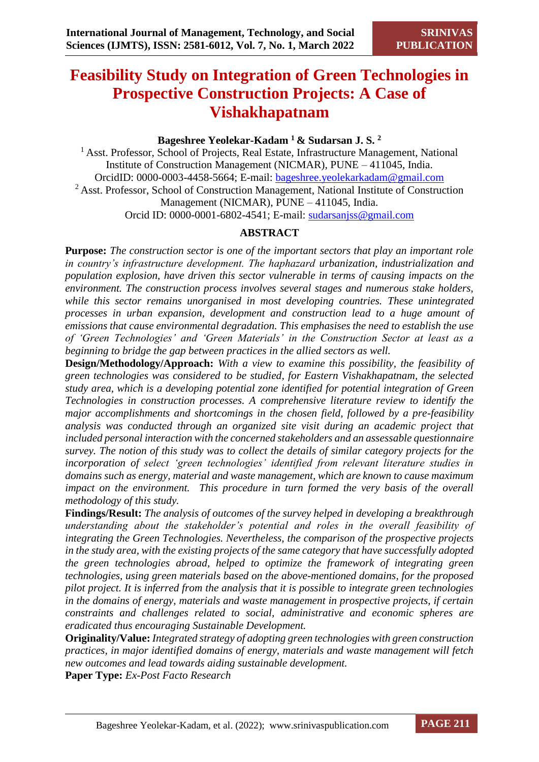# **Feasibility Study on Integration of Green Technologies in Prospective Construction Projects: A Case of Vishakhapatnam**

# **Bageshree Yeolekar-Kadam <sup>1</sup>& Sudarsan J. S. <sup>2</sup>**

<sup>1</sup> Asst. Professor, School of Projects, Real Estate, Infrastructure Management, National Institute of Construction Management (NICMAR), PUNE – 411045, India. OrcidID: 0000-0003-4458-5664; E-mail: bageshree.yeolekarkadam@gmail.com <sup>2</sup> Asst. Professor, School of Construction Management, National Institute of Construction Management (NICMAR), PUNE – 411045, India. Orcid ID: 0000-0001-6802-4541; E-mail: [sudarsanjss@gmail.com](mailto:sudarsanjss@gmail.com)

# **ABSTRACT**

**Purpose:** *The construction sector is one of the important sectors that play an important role in country's infrastructure development. The haphazard urbanization, industrialization and population explosion, have driven this sector vulnerable in terms of causing impacts on the environment. The construction process involves several stages and numerous stake holders, while this sector remains unorganised in most developing countries. These unintegrated processes in urban expansion, development and construction lead to a huge amount of emissions that cause environmental degradation. This emphasises the need to establish the use of 'Green Technologies' and 'Green Materials' in the Construction Sector at least as a beginning to bridge the gap between practices in the allied sectors as well.* 

**Design/Methodology/Approach:** *With a view to examine this possibility, the feasibility of green technologies was considered to be studied, for Eastern Vishakhapatnam, the selected study area, which is a developing potential zone identified for potential integration of Green Technologies in construction processes. A comprehensive literature review to identify the major accomplishments and shortcomings in the chosen field, followed by a pre-feasibility analysis was conducted through an organized site visit during an academic project that included personal interaction with the concerned stakeholders and an assessable questionnaire survey. The notion of this study was to collect the details of similar category projects for the incorporation of select 'green technologies' identified from relevant literature studies in domains such as energy, material and waste management, which are known to cause maximum impact on the environment. This procedure in turn formed the very basis of the overall methodology of this study.*

**Findings/Result:** *The analysis of outcomes of the survey helped in developing a breakthrough understanding about the stakeholder's potential and roles in the overall feasibility of integrating the Green Technologies. Nevertheless, the comparison of the prospective projects in the study area, with the existing projects of the same category that have successfully adopted the green technologies abroad, helped to optimize the framework of integrating green technologies, using green materials based on the above-mentioned domains, for the proposed pilot project. It is inferred from the analysis that it is possible to integrate green technologies in the domains of energy, materials and waste management in prospective projects, if certain constraints and challenges related to social, administrative and economic spheres are eradicated thus encouraging Sustainable Development.*

**Originality/Value:** *Integrated strategy of adopting green technologies with green construction practices, in major identified domains of energy, materials and waste management will fetch new outcomes and lead towards aiding sustainable development.*

**Paper Type:** *Ex-Post Facto Research*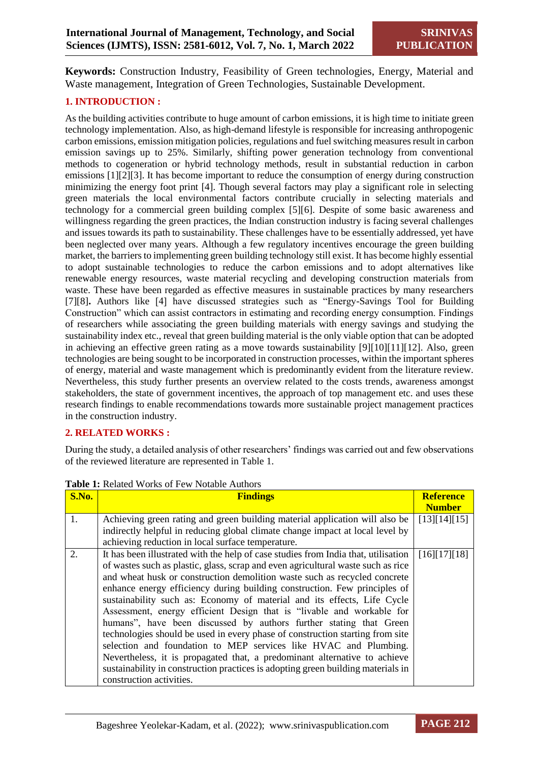**Keywords:** Construction Industry, Feasibility of Green technologies, Energy, Material and Waste management, Integration of Green Technologies, Sustainable Development.

## **1. INTRODUCTION :**

As the building activities contribute to huge amount of carbon emissions, it is high time to initiate green technology implementation. Also, as high-demand lifestyle is responsible for increasing anthropogenic carbon emissions, emission mitigation policies, regulations and fuel switching measures result in carbon emission savings up to 25%. Similarly, shifting power generation technology from conventional methods to cogeneration or hybrid technology methods, result in substantial reduction in carbon emissions [1][2][3]. It has become important to reduce the consumption of energy during construction minimizing the energy foot print [4]. Though several factors may play a significant role in selecting green materials the local environmental factors contribute crucially in selecting materials and technology for a commercial green building complex [5][6]. Despite of some basic awareness and willingness regarding the green practices, the Indian construction industry is facing several challenges and issues towards its path to sustainability. These challenges have to be essentially addressed, yet have been neglected over many years. Although a few regulatory incentives encourage the green building market, the barriers to implementing green building technology still exist. It has become highly essential to adopt sustainable technologies to reduce the carbon emissions and to adopt alternatives like renewable energy resources, waste material recycling and developing construction materials from waste. These have been regarded as effective measures in sustainable practices by many researchers [7][8]**.** Authors like [4] have discussed strategies such as "Energy-Savings Tool for Building Construction" which can assist contractors in estimating and recording energy consumption. Findings of researchers while associating the green building materials with energy savings and studying the sustainability index etc., reveal that green building material is the only viable option that can be adopted in achieving an effective green rating as a move towards sustainability [9][10][11][12]. Also, green technologies are being sought to be incorporated in construction processes, within the important spheres of energy, material and waste management which is predominantly evident from the literature review. Nevertheless, this study further presents an overview related to the costs trends, awareness amongst stakeholders, the state of government incentives, the approach of top management etc. and uses these research findings to enable recommendations towards more sustainable project management practices in the construction industry.

#### **2. RELATED WORKS :**

During the study, a detailed analysis of other researchers' findings was carried out and few observations of the reviewed literature are represented in Table 1.

| S.No. | <b>Findings</b>                                                                    |               |  |  |
|-------|------------------------------------------------------------------------------------|---------------|--|--|
|       |                                                                                    | <b>Number</b> |  |  |
| 1.    | Achieving green rating and green building material application will also be        | [13][14][15]  |  |  |
|       | indirectly helpful in reducing global climate change impact at local level by      |               |  |  |
|       | achieving reduction in local surface temperature.                                  |               |  |  |
| 2.    | It has been illustrated with the help of case studies from India that, utilisation | [16][17][18]  |  |  |
|       | of wastes such as plastic, glass, scrap and even agricultural waste such as rice   |               |  |  |
|       | and wheat husk or construction demolition waste such as recycled concrete          |               |  |  |
|       | enhance energy efficiency during building construction. Few principles of          |               |  |  |
|       | sustainability such as: Economy of material and its effects, Life Cycle            |               |  |  |
|       | Assessment, energy efficient Design that is "livable and workable for              |               |  |  |
|       | humans", have been discussed by authors further stating that Green                 |               |  |  |
|       | technologies should be used in every phase of construction starting from site      |               |  |  |
|       | selection and foundation to MEP services like HVAC and Plumbing.                   |               |  |  |
|       | Nevertheless, it is propagated that, a predominant alternative to achieve          |               |  |  |
|       | sustainability in construction practices is adopting green building materials in   |               |  |  |
|       | construction activities.                                                           |               |  |  |

**Table 1:** Related Works of Few Notable Authors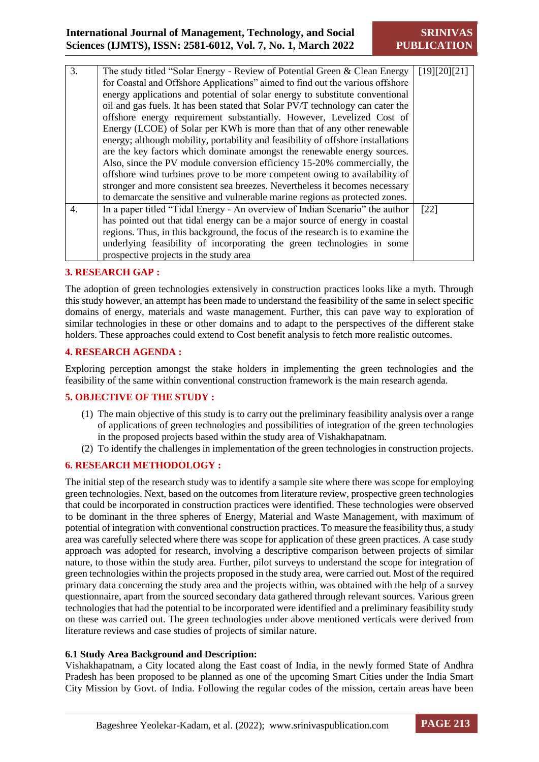# **International Journal of Management, Technology, and Social Sciences (IJMTS), ISSN: 2581-6012, Vol. 7, No. 1, March 2022**

| 3. | The study titled "Solar Energy - Review of Potential Green & Clean Energy        | [19][20][21] |  |  |  |
|----|----------------------------------------------------------------------------------|--------------|--|--|--|
|    | for Coastal and Offshore Applications" aimed to find out the various offshore    |              |  |  |  |
|    | energy applications and potential of solar energy to substitute conventional     |              |  |  |  |
|    | oil and gas fuels. It has been stated that Solar PV/T technology can cater the   |              |  |  |  |
|    | offshore energy requirement substantially. However, Levelized Cost of            |              |  |  |  |
|    | Energy (LCOE) of Solar per KWh is more than that of any other renewable          |              |  |  |  |
|    | energy; although mobility, portability and feasibility of offshore installations |              |  |  |  |
|    | are the key factors which dominate amongst the renewable energy sources.         |              |  |  |  |
|    | Also, since the PV module conversion efficiency 15-20% commercially, the         |              |  |  |  |
|    | offshore wind turbines prove to be more competent owing to availability of       |              |  |  |  |
|    | stronger and more consistent sea breezes. Nevertheless it becomes necessary      |              |  |  |  |
|    | to demarcate the sensitive and vulnerable marine regions as protected zones.     |              |  |  |  |
| 4. | In a paper titled "Tidal Energy - An overview of Indian Scenario" the author     | [22]         |  |  |  |
|    | has pointed out that tidal energy can be a major source of energy in coastal     |              |  |  |  |
|    | regions. Thus, in this background, the focus of the research is to examine the   |              |  |  |  |
|    | underlying feasibility of incorporating the green technologies in some           |              |  |  |  |
|    | prospective projects in the study area                                           |              |  |  |  |
|    |                                                                                  |              |  |  |  |

#### **3. RESEARCH GAP :**

The adoption of green technologies extensively in construction practices looks like a myth. Through this study however, an attempt has been made to understand the feasibility of the same in select specific domains of energy, materials and waste management. Further, this can pave way to exploration of similar technologies in these or other domains and to adapt to the perspectives of the different stake holders. These approaches could extend to Cost benefit analysis to fetch more realistic outcomes.

#### **4. RESEARCH AGENDA :**

Exploring perception amongst the stake holders in implementing the green technologies and the feasibility of the same within conventional construction framework is the main research agenda.

#### **5. OBJECTIVE OF THE STUDY :**

- (1) The main objective of this study is to carry out the preliminary feasibility analysis over a range of applications of green technologies and possibilities of integration of the green technologies in the proposed projects based within the study area of Vishakhapatnam.
- (2) To identify the challenges in implementation of the green technologies in construction projects.

#### **6. RESEARCH METHODOLOGY :**

The initial step of the research study was to identify a sample site where there was scope for employing green technologies. Next, based on the outcomes from literature review, prospective green technologies that could be incorporated in construction practices were identified. These technologies were observed to be dominant in the three spheres of Energy, Material and Waste Management, with maximum of potential of integration with conventional construction practices. To measure the feasibility thus, a study area was carefully selected where there was scope for application of these green practices. A case study approach was adopted for research, involving a descriptive comparison between projects of similar nature, to those within the study area. Further, pilot surveys to understand the scope for integration of green technologies within the projects proposed in the study area, were carried out. Most of the required primary data concerning the study area and the projects within, was obtained with the help of a survey questionnaire, apart from the sourced secondary data gathered through relevant sources. Various green technologies that had the potential to be incorporated were identified and a preliminary feasibility study on these was carried out. The green technologies under above mentioned verticals were derived from literature reviews and case studies of projects of similar nature.

#### **6.1 Study Area Background and Description:**

Vishakhapatnam, a City located along the East coast of India, in the newly formed State of Andhra Pradesh has been proposed to be planned as one of the upcoming Smart Cities under the India Smart City Mission by Govt. of India. Following the regular codes of the mission, certain areas have been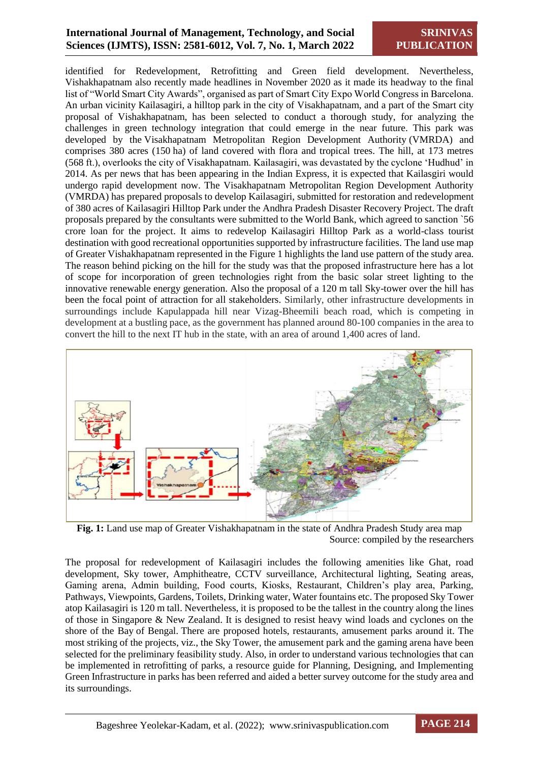# **International Journal of Management, Technology, and Social Sciences (IJMTS), ISSN: 2581-6012, Vol. 7, No. 1, March 2022**

identified for Redevelopment, Retrofitting and Green field development. Nevertheless, Vishakhapatnam also recently made headlines in November 2020 as it made its headway to the final list of "World Smart City Awards", organised as part of Smart City Expo World Congress in Barcelona. An urban vicinity Kailasagiri, a hilltop park in the city of Visakhapatnam, and a part of the Smart city proposal of Vishakhapatnam, has been selected to conduct a thorough study, for analyzing the challenges in green technology integration that could emerge in the near future. This park was developed by the Visakhapatnam Metropolitan Region Development Authority (VMRDA) and comprises 380 acres (150 ha) of land covered with flora and tropical trees. The hill, at 173 metres (568 ft.), overlooks the city of Visakhapatnam. Kailasagiri, was devastated by the cyclone 'Hudhud' in 2014. As per news that has been appearing in the Indian Express, it is expected that Kailasgiri would undergo rapid development now. The Visakhapatnam Metropolitan Region Development Authority (VMRDA) has prepared proposals to develop Kailasagiri, submitted for restoration and redevelopment of 380 acres of Kailasagiri Hilltop Park under the Andhra Pradesh Disaster Recovery Project. The draft proposals prepared by the consultants were submitted to the World Bank, which agreed to sanction `56 crore loan for the project. It aims to redevelop Kailasagiri Hilltop Park as a world-class tourist destination with good recreational opportunities supported by infrastructure facilities. The land use map of Greater Vishakhapatnam represented in the Figure 1 highlights the land use pattern of the study area. The reason behind picking on the hill for the study was that the proposed infrastructure here has a lot of scope for incorporation of green technologies right from the basic solar street lighting to the innovative renewable energy generation. Also the proposal of a 120 m tall Sky-tower over the hill has been the focal point of attraction for all stakeholders. Similarly, other infrastructure developments in surroundings include Kapulappada hill near Vizag-Bheemili beach road, which is competing in development at a bustling pace, as the government has planned around 80-100 companies in the area to convert the hill to the next IT hub in the state, with an area of around 1,400 acres of land.



**Fig. 1:** Land use map of Greater Vishakhapatnam in the state of Andhra Pradesh Study area map Source: compiled by the researchers

The proposal for redevelopment of Kailasagiri includes the following amenities like Ghat, road development, Sky tower, Amphitheatre, CCTV surveillance, Architectural lighting, Seating areas, Gaming arena, Admin building, Food courts, Kiosks, Restaurant, Children's play area, Parking, Pathways, Viewpoints, Gardens, Toilets, Drinking water, Water fountains etc. The proposed Sky Tower atop Kailasagiri is 120 m tall. Nevertheless, it is proposed to be the tallest in the country along the lines of those in Singapore & New Zealand. It is designed to resist heavy wind loads and cyclones on the shore of the Bay of Bengal. There are proposed hotels, restaurants, amusement parks around it. The most striking of the projects, viz., the Sky Tower, the amusement park and the gaming arena have been selected for the preliminary feasibility study. Also, in order to understand various technologies that can be implemented in retrofitting of parks, a resource guide for Planning, Designing, and Implementing Green Infrastructure in parks has been referred and aided a better survey outcome for the study area and its surroundings.

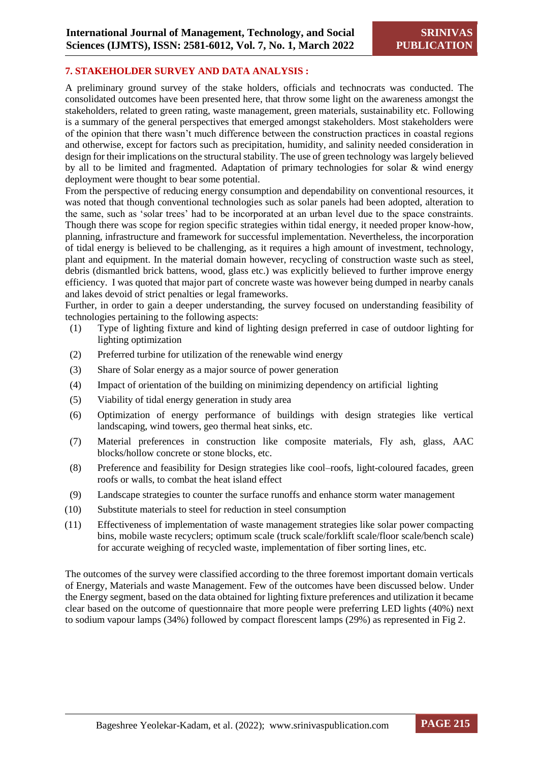#### **7. STAKEHOLDER SURVEY AND DATA ANALYSIS :**

A preliminary ground survey of the stake holders, officials and technocrats was conducted. The consolidated outcomes have been presented here, that throw some light on the awareness amongst the stakeholders, related to green rating, waste management, green materials, sustainability etc. Following is a summary of the general perspectives that emerged amongst stakeholders. Most stakeholders were of the opinion that there wasn't much difference between the construction practices in coastal regions and otherwise, except for factors such as precipitation, humidity, and salinity needed consideration in design for their implications on the structural stability. The use of green technology was largely believed by all to be limited and fragmented. Adaptation of primary technologies for solar & wind energy deployment were thought to bear some potential.

From the perspective of reducing energy consumption and dependability on conventional resources, it was noted that though conventional technologies such as solar panels had been adopted, alteration to the same, such as 'solar trees' had to be incorporated at an urban level due to the space constraints. Though there was scope for region specific strategies within tidal energy, it needed proper know-how, planning, infrastructure and framework for successful implementation. Nevertheless, the incorporation of tidal energy is believed to be challenging, as it requires a high amount of investment, technology, plant and equipment. In the material domain however, recycling of construction waste such as steel, debris (dismantled brick battens, wood, glass etc.) was explicitly believed to further improve energy efficiency. I was quoted that major part of concrete waste was however being dumped in nearby canals and lakes devoid of strict penalties or legal frameworks.

Further, in order to gain a deeper understanding, the survey focused on understanding feasibility of technologies pertaining to the following aspects:

- (1) Type of lighting fixture and kind of lighting design preferred in case of outdoor lighting for lighting optimization
- (2) Preferred turbine for utilization of the renewable wind energy
- (3) Share of Solar energy as a major source of power generation
- (4) Impact of orientation of the building on minimizing dependency on artificial lighting
- (5) Viability of tidal energy generation in study area
- (6) Optimization of energy performance of buildings with design strategies like vertical landscaping, wind towers, geo thermal heat sinks, etc.
- (7) Material preferences in construction like composite materials, Fly ash, glass, AAC blocks/hollow concrete or stone blocks, etc.
- (8) Preference and feasibility for Design strategies like cool–roofs, light-coloured facades, green roofs or walls, to combat the heat island effect
- (9) Landscape strategies to counter the surface runoffs and enhance storm water management
- (10) Substitute materials to steel for reduction in steel consumption
- (11) Effectiveness of implementation of waste management strategies like solar power compacting bins, mobile waste recyclers; optimum scale (truck scale/forklift scale/floor scale/bench scale) for accurate weighing of recycled waste, implementation of fiber sorting lines, etc.

The outcomes of the survey were classified according to the three foremost important domain verticals of Energy, Materials and waste Management. Few of the outcomes have been discussed below. Under the Energy segment, based on the data obtained for lighting fixture preferences and utilization it became clear based on the outcome of questionnaire that more people were preferring LED lights (40%) next to sodium vapour lamps (34%) followed by compact florescent lamps (29%) as represented in Fig 2.

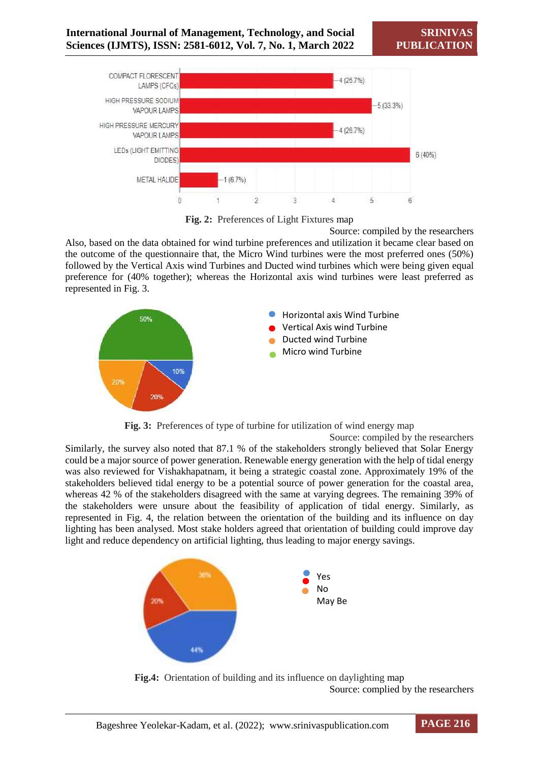

**Fig. 2:** Preferences of Light Fixtures map

Source: compiled by the researchers Also, based on the data obtained for wind turbine preferences and utilization it became clear based on the outcome of the questionnaire that, the Micro Wind turbines were the most preferred ones (50%) followed by the Vertical Axis wind Turbines and Ducted wind turbines which were being given equal preference for (40% together); whereas the Horizontal axis wind turbines were least preferred as represented in Fig. 3.



**Fig. 3:** Preferences of type of turbine for utilization of wind energy map

Source: compiled by the researchers

Similarly, the survey also noted that 87.1 % of the stakeholders strongly believed that Solar Energy could be a major source of power generation. Renewable energy generation with the help of tidal energy was also reviewed for Vishakhapatnam, it being a strategic coastal zone. Approximately 19% of the stakeholders believed tidal energy to be a potential source of power generation for the coastal area, whereas 42 % of the stakeholders disagreed with the same at varying degrees. The remaining 39% of the stakeholders were unsure about the feasibility of application of tidal energy. Similarly, as represented in Fig. 4, the relation between the orientation of the building and its influence on day lighting has been analysed. Most stake holders agreed that orientation of building could improve day light and reduce dependency on artificial lighting, thus leading to major energy savings.



**Fig.4:** Orientation of building and its influence on daylighting map Source: complied by the researchers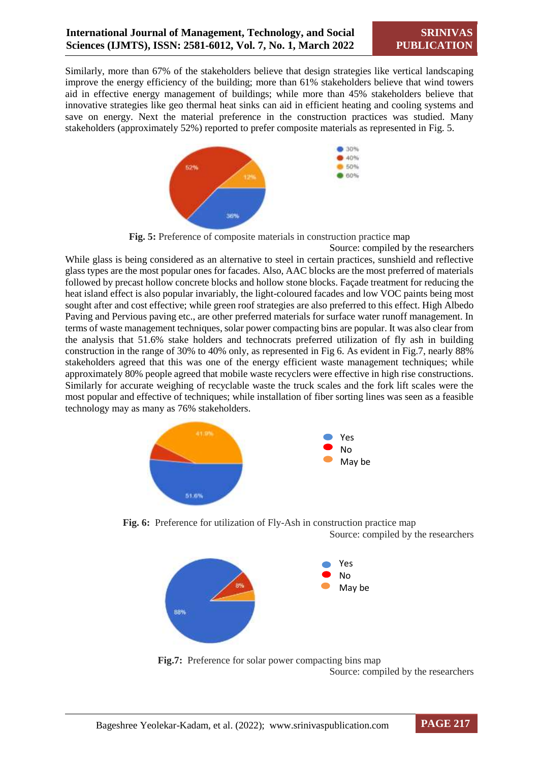Similarly, more than 67% of the stakeholders believe that design strategies like vertical landscaping improve the energy efficiency of the building; more than 61% stakeholders believe that wind towers aid in effective energy management of buildings; while more than 45% stakeholders believe that innovative strategies like geo thermal heat sinks can aid in efficient heating and cooling systems and save on energy. Next the material preference in the construction practices was studied. Many stakeholders (approximately 52%) reported to prefer composite materials as represented in Fig. 5.



**Fig. 5:** Preference of composite materials in construction practice map

While glass is being considered as an alternative to steel in certain practices, sunshield and reflective glass types are the most popular ones for facades. Also, AAC blocks are the most preferred of materials followed by precast hollow concrete blocks and hollow stone blocks. Façade treatment for reducing the heat island effect is also popular invariably, the light-coloured facades and low VOC paints being most sought after and cost effective; while green roof strategies are also preferred to this effect. High Albedo Paving and Pervious paving etc., are other preferred materials for surface water runoff management. In terms of waste management techniques, solar power compacting bins are popular. It was also clear from the analysis that 51.6% stake holders and technocrats preferred utilization of fly ash in building construction in the range of 30% to 40% only, as represented in Fig 6. As evident in Fig.7, nearly 88% stakeholders agreed that this was one of the energy efficient waste management techniques; while approximately 80% people agreed that mobile waste recyclers were effective in high rise constructions. Similarly for accurate weighing of recyclable waste the truck scales and the fork lift scales were the most popular and effective of techniques; while installation of fiber sorting lines was seen as a feasible technology may as many as 76% stakeholders.



**Fig. 6:** Preference for utilization of Fly-Ash in construction practice map Source: compiled by the researchers



Fig.7: Preference for solar power compacting bins map Source: compiled by the researchers

Source: compiled by the researchers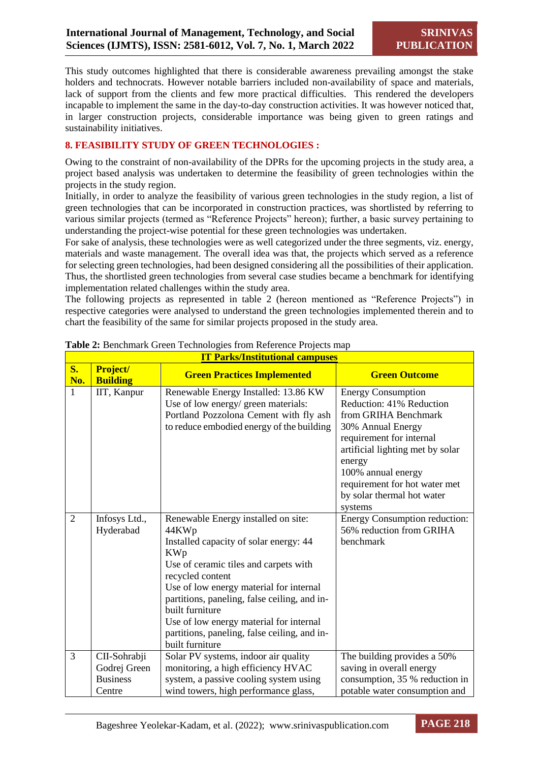This study outcomes highlighted that there is considerable awareness prevailing amongst the stake holders and technocrats. However notable barriers included non-availability of space and materials, lack of support from the clients and few more practical difficulties. This rendered the developers incapable to implement the same in the day-to-day construction activities. It was however noticed that, in larger construction projects, considerable importance was being given to green ratings and sustainability initiatives.

#### **8. FEASIBILITY STUDY OF GREEN TECHNOLOGIES :**

Owing to the constraint of non-availability of the DPRs for the upcoming projects in the study area, a project based analysis was undertaken to determine the feasibility of green technologies within the projects in the study region.

Initially, in order to analyze the feasibility of various green technologies in the study region, a list of green technologies that can be incorporated in construction practices, was shortlisted by referring to various similar projects (termed as "Reference Projects" hereon); further, a basic survey pertaining to understanding the project-wise potential for these green technologies was undertaken.

For sake of analysis, these technologies were as well categorized under the three segments, viz. energy, materials and waste management. The overall idea was that, the projects which served as a reference for selecting green technologies, had been designed considering all the possibilities of their application. Thus, the shortlisted green technologies from several case studies became a benchmark for identifying implementation related challenges within the study area.

The following projects as represented in table 2 (hereon mentioned as "Reference Projects") in respective categories were analysed to understand the green technologies implemented therein and to chart the feasibility of the same for similar projects proposed in the study area.

|                      | <b>IT Parks/Institutional campuses</b> |                                                                                                                                                                                                                                                                                                                                                                                               |                                                                                                                                                                                                                                                                              |  |  |
|----------------------|----------------------------------------|-----------------------------------------------------------------------------------------------------------------------------------------------------------------------------------------------------------------------------------------------------------------------------------------------------------------------------------------------------------------------------------------------|------------------------------------------------------------------------------------------------------------------------------------------------------------------------------------------------------------------------------------------------------------------------------|--|--|
| $S_{\bullet}$<br>No. | Project/<br><b>Building</b>            | <b>Green Practices Implemented</b>                                                                                                                                                                                                                                                                                                                                                            | <b>Green Outcome</b>                                                                                                                                                                                                                                                         |  |  |
| 1                    | IIT, Kanpur                            | Renewable Energy Installed: 13.86 KW<br>Use of low energy/ green materials:<br>Portland Pozzolona Cement with fly ash<br>to reduce embodied energy of the building                                                                                                                                                                                                                            | <b>Energy Consumption</b><br>Reduction: 41% Reduction<br>from GRIHA Benchmark<br>30% Annual Energy<br>requirement for internal<br>artificial lighting met by solar<br>energy<br>100% annual energy<br>requirement for hot water met<br>by solar thermal hot water<br>systems |  |  |
| $\overline{2}$       | Infosys Ltd.,<br>Hyderabad             | Renewable Energy installed on site:<br>44KWp<br>Installed capacity of solar energy: 44<br><b>KWp</b><br>Use of ceramic tiles and carpets with<br>recycled content<br>Use of low energy material for internal<br>partitions, paneling, false ceiling, and in-<br>built furniture<br>Use of low energy material for internal<br>partitions, paneling, false ceiling, and in-<br>built furniture | <b>Energy Consumption reduction:</b><br>56% reduction from GRIHA<br>benchmark                                                                                                                                                                                                |  |  |
| 3                    | CII-Sohrabji<br>Godrej Green           | Solar PV systems, indoor air quality<br>monitoring, a high efficiency HVAC                                                                                                                                                                                                                                                                                                                    | The building provides a 50%<br>saving in overall energy                                                                                                                                                                                                                      |  |  |
|                      | <b>Business</b><br>Centre              | system, a passive cooling system using<br>wind towers, high performance glass,                                                                                                                                                                                                                                                                                                                | consumption, 35 % reduction in<br>potable water consumption and                                                                                                                                                                                                              |  |  |

#### **Table 2:** Benchmark Green Technologies from Reference Projects map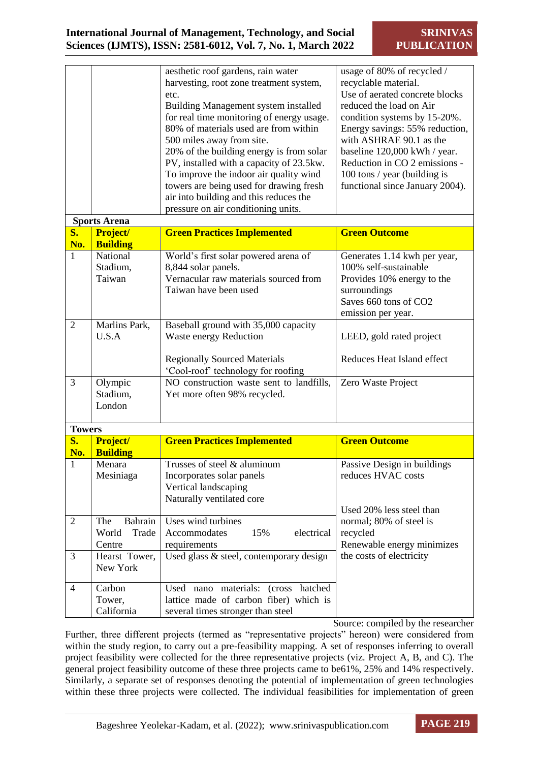|                      |                                     | aesthetic roof gardens, rain water<br>harvesting, root zone treatment system,<br>etc.<br>Building Management system installed<br>for real time monitoring of energy usage.<br>80% of materials used are from within<br>500 miles away from site.<br>20% of the building energy is from solar<br>PV, installed with a capacity of 23.5kw.<br>To improve the indoor air quality wind<br>towers are being used for drawing fresh<br>air into building and this reduces the<br>pressure on air conditioning units. | usage of 80% of recycled /<br>recyclable material.<br>Use of aerated concrete blocks<br>reduced the load on Air<br>condition systems by 15-20%.<br>Energy savings: 55% reduction,<br>with ASHRAE 90.1 as the<br>baseline 120,000 kWh / year.<br>Reduction in CO 2 emissions -<br>100 tons / year (building is<br>functional since January 2004). |
|----------------------|-------------------------------------|----------------------------------------------------------------------------------------------------------------------------------------------------------------------------------------------------------------------------------------------------------------------------------------------------------------------------------------------------------------------------------------------------------------------------------------------------------------------------------------------------------------|--------------------------------------------------------------------------------------------------------------------------------------------------------------------------------------------------------------------------------------------------------------------------------------------------------------------------------------------------|
|                      | <b>Sports Arena</b>                 |                                                                                                                                                                                                                                                                                                                                                                                                                                                                                                                |                                                                                                                                                                                                                                                                                                                                                  |
| S.<br>No.            | Project/<br><b>Building</b>         | <b>Green Practices Implemented</b>                                                                                                                                                                                                                                                                                                                                                                                                                                                                             | <b>Green Outcome</b>                                                                                                                                                                                                                                                                                                                             |
| $\mathbf{1}$         | National<br>Stadium,<br>Taiwan      | World's first solar powered arena of<br>8,844 solar panels.<br>Vernacular raw materials sourced from<br>Taiwan have been used                                                                                                                                                                                                                                                                                                                                                                                  | Generates 1.14 kwh per year,<br>100% self-sustainable<br>Provides 10% energy to the<br>surroundings<br>Saves 660 tons of CO2<br>emission per year.                                                                                                                                                                                               |
| $\overline{2}$       | Marlins Park,<br>U.S.A              | Baseball ground with 35,000 capacity<br>Waste energy Reduction<br><b>Regionally Sourced Materials</b><br>'Cool-roof' technology for roofing                                                                                                                                                                                                                                                                                                                                                                    | LEED, gold rated project<br>Reduces Heat Island effect                                                                                                                                                                                                                                                                                           |
| 3                    | Olympic<br>Stadium,<br>London       | NO construction waste sent to landfills,<br>Yet more often 98% recycled.                                                                                                                                                                                                                                                                                                                                                                                                                                       | Zero Waste Project                                                                                                                                                                                                                                                                                                                               |
| <b>Towers</b>        |                                     |                                                                                                                                                                                                                                                                                                                                                                                                                                                                                                                |                                                                                                                                                                                                                                                                                                                                                  |
| $S_{\bullet}$<br>No. | Project/<br><b>Building</b>         | <b>Green Practices Implemented</b>                                                                                                                                                                                                                                                                                                                                                                                                                                                                             | <b>Green Outcome</b>                                                                                                                                                                                                                                                                                                                             |
| T.                   | Menara<br>Mesiniaga                 | Trusses of steel & aluminum<br>Incorporates solar panels<br>Vertical landscaping<br>Naturally ventilated core                                                                                                                                                                                                                                                                                                                                                                                                  | Passive Design in buildings<br>reduces HVAC costs<br>Used 20% less steel than                                                                                                                                                                                                                                                                    |
| $\overline{2}$       | Bahrain<br>The<br>World<br>Trade    | Uses wind turbines<br>Accommodates<br>15%<br>electrical                                                                                                                                                                                                                                                                                                                                                                                                                                                        | normal; 80% of steel is<br>recycled                                                                                                                                                                                                                                                                                                              |
| 3                    | Centre<br>Hearst Tower,<br>New York | requirements<br>Used glass & steel, contemporary design                                                                                                                                                                                                                                                                                                                                                                                                                                                        | Renewable energy minimizes<br>the costs of electricity                                                                                                                                                                                                                                                                                           |
| 4                    | Carbon<br>Tower,<br>California      | Used nano materials: (cross hatched<br>lattice made of carbon fiber) which is<br>several times stronger than steel                                                                                                                                                                                                                                                                                                                                                                                             |                                                                                                                                                                                                                                                                                                                                                  |

Source: compiled by the researcher

Further, three different projects (termed as "representative projects" hereon) were considered from within the study region, to carry out a pre-feasibility mapping. A set of responses inferring to overall project feasibility were collected for the three representative projects (viz. Project A, B, and C). The general project feasibility outcome of these three projects came to be61%, 25% and 14% respectively. Similarly, a separate set of responses denoting the potential of implementation of green technologies within these three projects were collected. The individual feasibilities for implementation of green

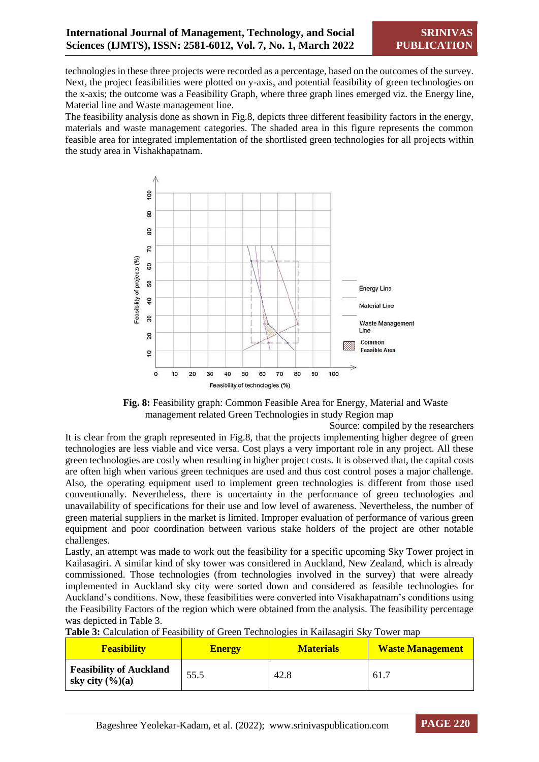technologies in these three projects were recorded as a percentage, based on the outcomes of the survey. Next, the project feasibilities were plotted on y-axis, and potential feasibility of green technologies on the x-axis; the outcome was a Feasibility Graph, where three graph lines emerged viz. the Energy line, Material line and Waste management line.

The feasibility analysis done as shown in Fig.8, depicts three different feasibility factors in the energy, materials and waste management categories. The shaded area in this figure represents the common feasible area for integrated implementation of the shortlisted green technologies for all projects within the study area in Vishakhapatnam.



**Fig. 8:** Feasibility graph: Common Feasible Area for Energy, Material and Waste management related Green Technologies in study Region map

Source: compiled by the researchers

It is clear from the graph represented in Fig.8, that the projects implementing higher degree of green technologies are less viable and vice versa. Cost plays a very important role in any project. All these green technologies are costly when resulting in higher project costs. It is observed that, the capital costs are often high when various green techniques are used and thus cost control poses a major challenge. Also, the operating equipment used to implement green technologies is different from those used conventionally. Nevertheless, there is uncertainty in the performance of green technologies and unavailability of specifications for their use and low level of awareness. Nevertheless, the number of green material suppliers in the market is limited. Improper evaluation of performance of various green equipment and poor coordination between various stake holders of the project are other notable challenges.

Lastly, an attempt was made to work out the feasibility for a specific upcoming Sky Tower project in Kailasagiri. A similar kind of sky tower was considered in Auckland, New Zealand, which is already commissioned. Those technologies (from technologies involved in the survey) that were already implemented in Auckland sky city were sorted down and considered as feasible technologies for Auckland's conditions. Now, these feasibilities were converted into Visakhapatnam's conditions using the Feasibility Factors of the region which were obtained from the analysis. The feasibility percentage was depicted in Table 3.

| <b>Feasibility</b>                                            | <b>Energy</b> | <b>Materials</b> | <b>Waste Management</b> |
|---------------------------------------------------------------|---------------|------------------|-------------------------|
| <b>Feasibility of Auckland</b><br>sky city $(\frac{6}{6})(a)$ | 55.5          | 42.8             | 61.                     |

| Table 3: Calculation of Feasibility of Green Technologies in Kailasagiri Sky Tower map |  |  |
|----------------------------------------------------------------------------------------|--|--|
|----------------------------------------------------------------------------------------|--|--|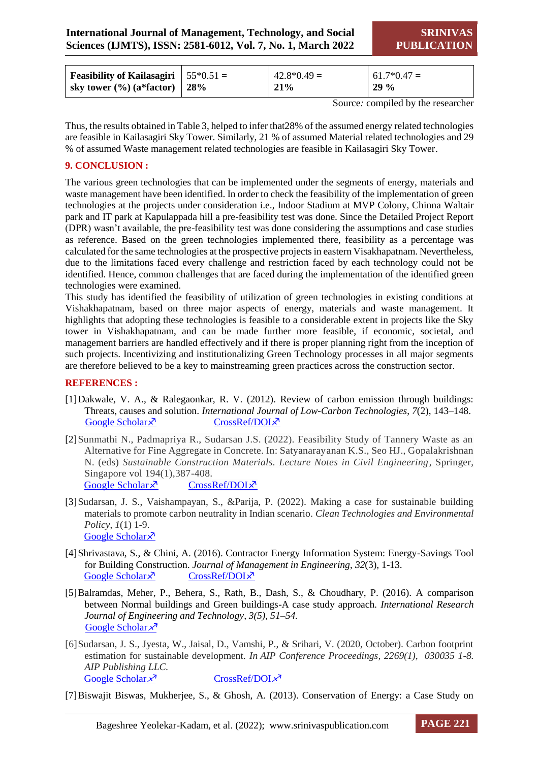| <b>Feasibility of Kailasagiri</b> $\vert 55*0.51 \vert =$ | $42.8*0.49=$ | $61.7*0.47=$ |
|-----------------------------------------------------------|--------------|--------------|
| sky tower $\left(\frac{9}{0}\right)$ (a*factor)   28%     | 21%          | 129%         |

Source*:* compiled by the researcher

Thus, the results obtained in Table 3, helped to infer that28% of the assumed energy related technologies are feasible in Kailasagiri Sky Tower. Similarly, 21 % of assumed Material related technologies and 29 % of assumed Waste management related technologies are feasible in Kailasagiri Sky Tower.

#### **9. CONCLUSION :**

The various green technologies that can be implemented under the segments of energy, materials and waste management have been identified. In order to check the feasibility of the implementation of green technologies at the projects under consideration i.e., Indoor Stadium at MVP Colony, Chinna Waltair park and IT park at Kapulappada hill a pre-feasibility test was done. Since the Detailed Project Report (DPR) wasn't available, the pre-feasibility test was done considering the assumptions and case studies as reference. Based on the green technologies implemented there, feasibility as a percentage was calculated for the same technologies at the prospective projects in eastern Visakhapatnam. Nevertheless, due to the limitations faced every challenge and restriction faced by each technology could not be identified. Hence, common challenges that are faced during the implementation of the identified green technologies were examined.

This study has identified the feasibility of utilization of green technologies in existing conditions at Vishakhapatnam, based on three major aspects of energy, materials and waste management. It highlights that adopting these technologies is feasible to a considerable extent in projects like the Sky tower in Vishakhapatnam, and can be made further more feasible, if economic, societal, and management barriers are handled effectively and if there is proper planning right from the inception of such projects. Incentivizing and institutionalizing Green Technology processes in all major segments are therefore believed to be a key to mainstreaming green practices across the construction sector.

#### **REFERENCES :**

- [1]Dakwale, V. A., & Ralegaonkar, R. V. (2012). Review of carbon emission through buildings: Threats, causes and solution. *International Journal of Low-Carbon Technologies*, *7*(2), 143–148. [CrossRef/DOI](https://doi.org/10.1093/ijlct/ctr032) $\times$
- [2]Sunmathi N., Padmapriya R., Sudarsan J.S. (2022). Feasibility Study of Tannery Waste as an Alternative for Fine Aggregate in Concrete. In: Satyanarayanan K.S., Seo HJ., Gopalakrishnan N. (eds) *Sustainable Construction Materials. Lecture Notes in Civil Engineering*, Springer, Singapore vol 194(1),387-408. [Google Scholar](https://scholar.google.com/scholar?hl=en&as_sdt=0%2C5&q=N.Sunmathi&btnG=)  $\lambda$  [CrossRef/DOI](https://doi.org/10.1007/978-981-16-6403-8_34) $\lambda$
- [3]Sudarsan, J. S., Vaishampayan, S., &Parija, P. (2022). Making a case for sustainable building materials to promote carbon neutrality in Indian scenario. *Clean Technologies and Environmental Policy*, *1*(1) 1-9. [Google Scholar](https://scholar.google.com/scholar?hl=en&as_sdt=0%2C5&q=Making+a+case+for+sustainable+building+materials+to+promote+carbon+neutrality+in+Indian+scenario&btnG=#d=gs_cit&u=%2Fscholar%3Fq%3Dinfo%3AMIXTMtaiK00J%3Ascholar.google.com%2F%26output%3Dcite%26scirp%3D0%26hl%3Den)<sup>N</sup>
- [4]Shrivastava, S., & Chini, A. (2016). Contractor Energy Information System: Energy-Savings Tool for Building Construction. *Journal of Management in Engineering*, *32*(3), 1-13. [Google Scholar](https://tinyurl.com/24txxnv4)  $\sqrt{\frac{8}{5}}$  [CrossRef/DOI](https://doi.org/10.1061/(asce)me.1943-5479.0000412) $\sqrt{2}$
- [5]Balramdas, Meher, P., Behera, S., Rath, B., Dash, S., & Choudhary, P. (2016). A comparison between Normal buildings and Green buildings-A case study approach*. International Research Journal of Engineering and Technology, 3(5), 51–54.* [Google Scholar](https://tinyurl.com/2rnhpkpe) ×<sup>7</sup>
- [6]Sudarsan, J. S., Jyesta, W., Jaisal, D., Vamshi, P., & Srihari, V. (2020, October). Carbon footprint estimation for sustainable development*. In AIP Conference Proceedings, 2269(1), 030035 1-8. AIP Publishing LLC.*<br>
<u>[Google Scholar](https://scholar.google.com/scholar?hl=en&as_sdt=0%2C5&q=Carbon+footprint+estimation+for+sustainable+development&btnG=#d=gs_cit&u=%2Fscholar%3Fq%3Dinfo%3A0r0z2TNPipYJ%3Ascholar.google.com%2F%26output%3Dcite%26scirp%3D0%26hl%3Den)  $x^3$  [CrossRef/DOI](https://doi.org/10.1063/5.0019517)  $x^3$ </u>
- [7]Biswajit Biswas, Mukherjee, S., & Ghosh, A. (2013). Conservation of Energy: a Case Study on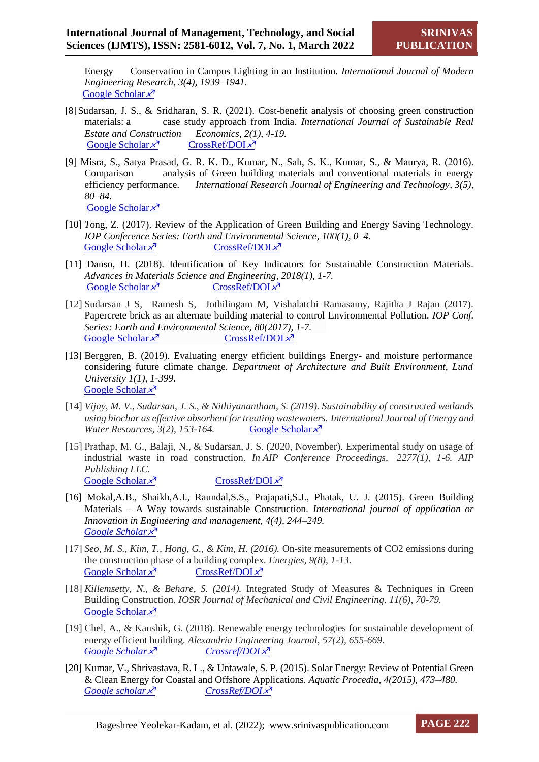Energy Conservation in Campus Lighting in an Institution*. International Journal of Modern Engineering Research, 3(4), 1939–1941.* Google Scholar $\chi^7$ 

- [8]Sudarsan, J. S., & Sridharan, S. R. (2021). Cost-benefit analysis of choosing green construction materials: a case study approach from India*. International Journal of Sustainable Real Estate and Construction Economics, 2(1), 4-19.* [Google Scholar](https://tinyurl.com/2p9b43a3)  $x^7$  [CrossRef/DOI](https://doi.org/10.1504/ijsrece.2021.118125) $x^7$
- [9] Misra, S., Satya Prasad, G. R. K. D., Kumar, N., Sah, S. K., Kumar, S., & Maurya, R. (2016). Comparison analysis of Green building materials and conventional materials in energy efficiency performance*. International Research Journal of Engineering and Technology, 3(5), 80–84.* [Google Scholar](https://tinyurl.com/y5tvtp4r)  $x^7$
- [10] *T*ong, Z. (2017). Review of the Application of Green Building and Energy Saving Technology*. IOP Conference Series: Earth and Environmental Science, 100(1), 0–4.*  [Google Scholar](https://tinyurl.com/mpvfwmn4)  $x^7$  [CrossRef/DOI](https://doi.org/10.1088/1755-1315/100/1/012141) $x^7$
- [11] Danso, H. (2018). Identification of Key Indicators for Sustainable Construction Materials. *Advances in Materials Science and Engineering, 2018(1), 1-7.* [Google Scholar](https://tinyurl.com/2p9aw2n2)  $x^7$  [CrossRef/DOI](https://doi.org/10.1155/2018/6916258)  $x^7$
- [12] Sudarsan J S, Ramesh S, Jothilingam M, Vishalatchi Ramasamy, Rajitha J Rajan (2017). Papercrete brick as an alternate building material to control Environmental Pollution*. IOP Conf. Series: Earth and Environmental Science, 80(2017), 1-7.* [Google Scholar](https://tinyurl.com/3nbpxxfa)  $x^7$  [CrossRef/DOI](file:///C:/Users/sudarsanjss/Downloads/doi%20:10.1088/1755-1315/80/1/012017) $x^7$
- [13] Berggren, B. (2019). Evaluating energy efficient buildings Energy- and moisture performance considering future climate change*. Department of Architecture and Built Environment, Lund University 1(1), 1-399.*  [Google Scholar](https://scholar.google.com/scholar?hl=en&as_sdt=0%2C5&as_ylo=2016&q=Evaluating+energy+efficient+buildings+%2C+b.berggren&btnG=) ×
- [14] *Vijay, M. V., Sudarsan, J. S., & Nithiyanantham, S. (2019). Sustainability of constructed wetlands using biochar as effective absorbent for treating wastewaters. International Journal of Energy and Water Resources,* 3(2), 153-164. **[Google Scholar](https://scholar.google.com/scholar?hl=en&as_sdt=0%2C5&q=sustainability+of+construction+wetlands+using+biochar+js+sudarsan&btnG=)**  $x^7$
- [15] Prathap, M. G., Balaji, N., & Sudarsan, J. S. (2020, November). Experimental study on usage of industrial waste in road construction*. In AIP Conference Proceedings, 2277(1), 1-6. AIP Publishing LLC.* [Google Scholar](https://scholar.google.com/scholar?hl=en&as_sdt=0%2C5&q=Experimental+study+on+usage+of+industrial+waste+in+road+construction&btnG=)  $\times$ <sup>7</sup> [CrossRef/DOI](https://doi.org/10.1063/5.0025309)  $\times$ <sup>7</sup>
- [16] Mokal,A.B., Shaikh,A.I., Raundal,S.S., Prajapati,S.J., Phatak, U. J. (2015). Green Building Materials – A Way towards sustainable Construction*. International journal of application or Innovation in Engineering and management, 4(4), 244–249. [Google Scholar](https://tinyurl.com/m2xd3zdf)*
- [17] *Seo, M. S., Kim, T., Hong, G., & Kim, H. (2016).* On-site measurements of CO2 emissions during the construction phase of a building complex*. Energies, 9(8), 1-13.*  [Google Scholar](https://scholar.google.com/scholar?hl=en&as_sdt=0%2C5&q=%5B5%5D%09On-+Site+Measurements+of+Co2+Emissions+during+the+Construction+Phase+of+a+Building&btnG=#d=gs_cit&u=%2Fscholar%3Fq%3Dinfo%3AdvrFtmQklIkJ%3Ascholar.google.com%2F%26output%3Dcite%26scirp%3D0%26hl%3Den)  $x^7$  [CrossRef/DOI](https://doi.org/10.3390/en9080599) $x^7$
- [18] *Killemsetty, N., & Behare, S. (2014).* Integrated Study of Measures & Techniques in Green Building Construction*. IOSR Journal of Mechanical and Civil Engineering. 11(6), 70-79.* [Google Scholar](https://scholar.google.com/scholar?hl=en&as_sdt=0%2C5&q=%5B4%5D%09Integrated+Study+of+Measures+%26+Techniques+in+Green+Building+Construction&btnG=#d=gs_cit&u=%2Fscholar%3Fq%3Dinfo%3ACZwZifsAITUJ%3Ascholar.google.com%2F%26output%3Dcite%26scirp%3D0%26hl%3Den)  $\lambda^7$
- [19] Chel, A., & Kaushik, G. (2018). Renewable energy technologies for sustainable development of energy efficient building. *Alexandria Engineering Journal, 57(2), 655-669. [Google Scholar](https://scholar.google.com/scholar?hl=en&as_sdt=0%2C5&q=%5B7%5D%09Renewable+energy+technologies+for+sustainable+development+of+energy+efficient+building%2C+&btnG=#d=gs_cit&u=%2Fscholar%3Fq%3Dinfo%3Akkg_JeOGwi0J%3Ascholar.google.com%2F%26output%3Dcite%26scirp%3D0%26hl%3Den) X*<sup>*T*</sup> *Crossref*/*DOI X*<sup>*T*</sup>
- [20] Kumar, V., Shrivastava, R. L., & Untawale, S. P. (2015). Solar Energy: Review of Potential Green & Clean Energy for Coastal and Offshore Applications*. Aquatic Procedia, 4(2015), 473–480. [Google scholar](https://tinyurl.com/577ckcmw) [CrossRef/DOI](https://doi.org/10.1016/j.aqpro.2015.02.062)*